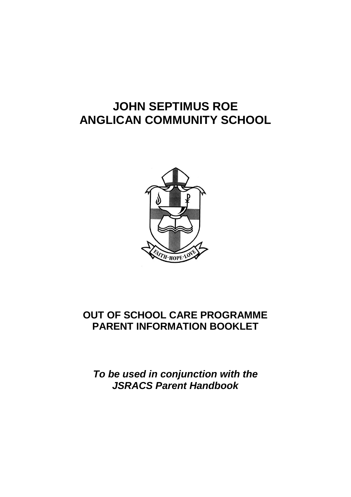# **JOHN SEPTIMUS ROE ANGLICAN COMMUNITY SCHOOL**



## **OUT OF SCHOOL CARE PROGRAMME PARENT INFORMATION BOOKLET**

*To be used in conjunction with the JSRACS Parent Handbook*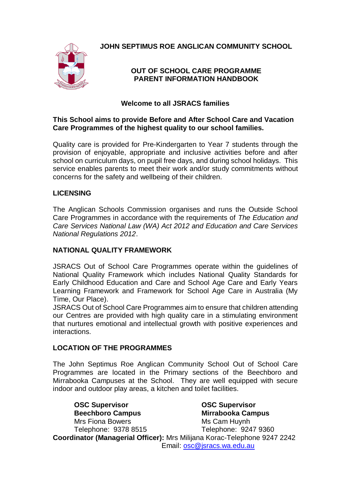

**JOHN SEPTIMUS ROE ANGLICAN COMMUNITY SCHOOL**

## **OUT OF SCHOOL CARE PROGRAMME PARENT INFORMATION HANDBOOK**

## **Welcome to all JSRACS families**

## **This School aims to provide Before and After School Care and Vacation Care Programmes of the highest quality to our school families.**

Quality care is provided for Pre-Kindergarten to Year 7 students through the provision of enjoyable, appropriate and inclusive activities before and after school on curriculum days, on pupil free days, and during school holidays. This service enables parents to meet their work and/or study commitments without concerns for the safety and wellbeing of their children.

## **LICENSING**

The Anglican Schools Commission organises and runs the Outside School Care Programmes in accordance with the requirements of *The Education and Care Services National Law (WA) Act 2012 and Education and Care Services National Regulations 2012*.

#### **NATIONAL QUALITY FRAMEWORK**

JSRACS Out of School Care Programmes operate within the guidelines of National Quality Framework which includes National Quality Standards for Early Childhood Education and Care and School Age Care and Early Years Learning Framework and Framework for School Age Care in Australia (My Time, Our Place).

JSRACS Out of School Care Programmes aim to ensure that children attending our Centres are provided with high quality care in a stimulating environment that nurtures emotional and intellectual growth with positive experiences and interactions.

#### **LOCATION OF THE PROGRAMMES**

The John Septimus Roe Anglican Community School Out of School Care Programmes are located in the Primary sections of the Beechboro and Mirrabooka Campuses at the School. They are well equipped with secure indoor and outdoor play areas, a kitchen and toilet facilities.

**OSC Supervisor OSC Supervisor Beechboro Campus Mirrabooka Campus** Mrs Fiona Bowers Ms Cam Huynh Telephone: 9378 8515 Telephone: 9247 9360 **Coordinator (Managerial Officer):** Mrs Milijana Korac-Telephone 9247 2242 Email: [osc@jsracs.wa.edu.au](mailto:osc@jsracs.wa.edu.au)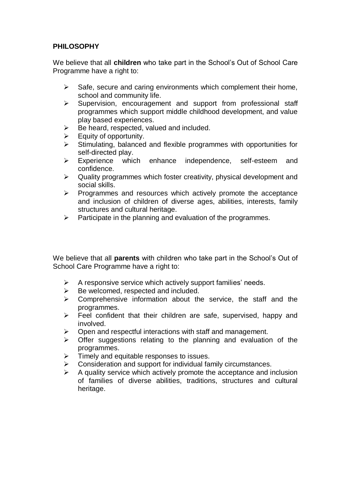## **PHILOSOPHY**

We believe that all **children** who take part in the School's Out of School Care Programme have a right to:

- $\triangleright$  Safe, secure and caring environments which complement their home, school and community life.
- $\triangleright$  Supervision, encouragement and support from professional staff programmes which support middle childhood development, and value play based experiences.
- $\triangleright$  Be heard, respected, valued and included.
- $\triangleright$  Equity of opportunity.
- $\triangleright$  Stimulating, balanced and flexible programmes with opportunities for self-directed play.
- Experience which enhance independence, self-esteem and confidence.
- $\triangleright$  Quality programmes which foster creativity, physical development and social skills.
- $\triangleright$  Programmes and resources which actively promote the acceptance and inclusion of children of diverse ages, abilities, interests, family structures and cultural heritage.
- $\triangleright$  Participate in the planning and evaluation of the programmes.

We believe that all **parents** with children who take part in the School's Out of School Care Programme have a right to:

- $\triangleright$  A responsive service which actively support families' needs.
- $\triangleright$  Be welcomed, respected and included.
- $\triangleright$  Comprehensive information about the service, the staff and the programmes.
- $\triangleright$  Feel confident that their children are safe, supervised, happy and involved.
- $\triangleright$  Open and respectful interactions with staff and management.
- $\triangleright$  Offer suggestions relating to the planning and evaluation of the programmes.
- $\triangleright$  Timely and equitable responses to issues.
- $\triangleright$  Consideration and support for individual family circumstances.
- $\triangleright$  A quality service which actively promote the acceptance and inclusion of families of diverse abilities, traditions, structures and cultural heritage.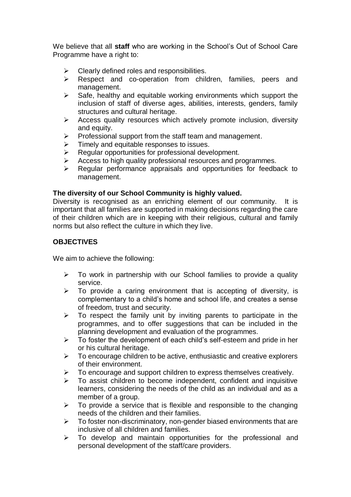We believe that all **staff** who are working in the School's Out of School Care Programme have a right to:

- $\triangleright$  Clearly defined roles and responsibilities.
- Extempt 2 Respect and co-operation from children, families, peers and management.
- $\triangleright$  Safe, healthy and equitable working environments which support the inclusion of staff of diverse ages, abilities, interests, genders, family structures and cultural heritage.
- $\triangleright$  Access quality resources which actively promote inclusion, diversity and equity.
- $\triangleright$  Professional support from the staff team and management.
- $\triangleright$  Timely and equitable responses to issues.
- $\triangleright$  Regular opportunities for professional development.
- $\triangleright$  Access to high quality professional resources and programmes.
- $\triangleright$  Regular performance appraisals and opportunities for feedback to management.

#### **The diversity of our School Community is highly valued.**

Diversity is recognised as an enriching element of our community. It is important that all families are supported in making decisions regarding the care of their children which are in keeping with their religious, cultural and family norms but also reflect the culture in which they live.

## **OBJECTIVES**

We aim to achieve the following:

- $\triangleright$  To work in partnership with our School families to provide a quality service.
- $\triangleright$  To provide a caring environment that is accepting of diversity, is complementary to a child's home and school life, and creates a sense of freedom, trust and security.
- $\triangleright$  To respect the family unit by inviting parents to participate in the programmes, and to offer suggestions that can be included in the planning development and evaluation of the programmes.
- $\triangleright$  To foster the development of each child's self-esteem and pride in her or his cultural heritage.
- $\triangleright$  To encourage children to be active, enthusiastic and creative explorers of their environment.
- $\triangleright$  To encourage and support children to express themselves creatively.
- $\triangleright$  To assist children to become independent, confident and inquisitive learners, considering the needs of the child as an individual and as a member of a group.
- $\triangleright$  To provide a service that is flexible and responsible to the changing needs of the children and their families.
- $\triangleright$  To foster non-discriminatory, non-gender biased environments that are inclusive of all children and families.
- $\triangleright$  To develop and maintain opportunities for the professional and personal development of the staff/care providers.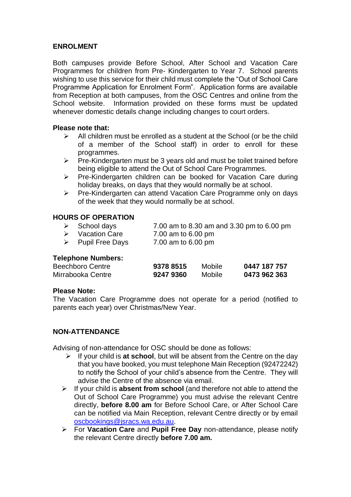## **ENROLMENT**

Both campuses provide Before School, After School and Vacation Care Programmes for children from Pre- Kindergarten to Year 7. School parents wishing to use this service for their child must complete the "Out of School Care Programme Application for Enrolment Form". Application forms are available from Reception at both campuses, from the OSC Centres and online from the School website. Information provided on these forms must be updated whenever domestic details change including changes to court orders.

#### **Please note that:**

- $\triangleright$  All children must be enrolled as a student at the School (or be the child of a member of the School staff) in order to enroll for these programmes.
- $\triangleright$  Pre-Kindergarten must be 3 years old and must be toilet trained before being eligible to attend the Out of School Care Programmes.
- $\triangleright$  Pre-Kindergarten children can be booked for Vacation Care during holiday breaks, on days that they would normally be at school.
- $\triangleright$  Pre-Kindergarten can attend Vacation Care Programme only on days of the week that they would normally be at school.

#### **HOURS OF OPERATION**

| $\triangleright$ School days     | 7.00 am to 8.30 am and 3.30 pm to 6.00 pm |
|----------------------------------|-------------------------------------------|
| $\triangleright$ Vacation Care   | 7.00 am to 6.00 pm                        |
| $\triangleright$ Pupil Free Days | 7.00 am to 6.00 pm                        |

#### **Telephone Numbers:**

| <b>Beechboro Centre</b> | 9378 8515 | Mobile | 0447 187 757 |
|-------------------------|-----------|--------|--------------|
| Mirrabooka Centre       | 92479360  | Mobile | 0473 962 363 |

#### **Please Note:**

The Vacation Care Programme does not operate for a period (notified to parents each year) over Christmas/New Year.

#### **NON-ATTENDANCE**

Advising of non-attendance for OSC should be done as follows:

- $\triangleright$  If your child is at school, but will be absent from the Centre on the day that you have booked, you must telephone Main Reception (92472242) to notify the School of your child's absence from the Centre. They will advise the Centre of the absence via email.
- If your child is **absent from school** (and therefore not able to attend the Out of School Care Programme) you must advise the relevant Centre directly, **before 8.00 am** for Before School Care, or After School Care can be notified via Main Reception, relevant Centre directly or by email [oscbookings@jsracs.wa.edu.au.](mailto:oscbookings@jsracs.wa.edu.au)
- For **Vacation Care** and **Pupil Free Day** non-attendance, please notify the relevant Centre directly **before 7.00 am.**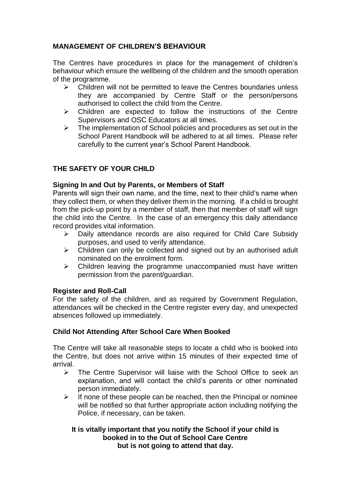## **MANAGEMENT OF CHILDREN'S BEHAVIOUR**

The Centres have procedures in place for the management of children's behaviour which ensure the wellbeing of the children and the smooth operation of the programme.

- $\triangleright$  Children will not be permitted to leave the Centres boundaries unless they are accompanied by Centre Staff or the person/persons authorised to collect the child from the Centre.
- $\triangleright$  Children are expected to follow the instructions of the Centre Supervisors and OSC Educators at all times.
- $\triangleright$  The implementation of School policies and procedures as set out in the School Parent Handbook will be adhered to at all times. Please refer carefully to the current year's School Parent Handbook.

## **THE SAFETY OF YOUR CHILD**

#### **Signing In and Out by Parents, or Members of Staff**

Parents will sign their own name, and the time, next to their child's name when they collect them, or when they deliver them in the morning. If a child is brought from the pick-up point by a member of staff, then that member of staff will sign the child into the Centre. In the case of an emergency this daily attendance record provides vital information.

- $\triangleright$  Daily attendance records are also required for Child Care Subsidy purposes, and used to verify attendance.
- $\triangleright$  Children can only be collected and signed out by an authorised adult nominated on the enrolment form.
- $\triangleright$  Children leaving the programme unaccompanied must have written permission from the parent/guardian.

#### **Register and Roll-Call**

For the safety of the children, and as required by Government Regulation, attendances will be checked in the Centre register every day, and unexpected absences followed up immediately.

#### **Child Not Attending After School Care When Booked**

The Centre will take all reasonable steps to locate a child who is booked into the Centre, but does not arrive within 15 minutes of their expected time of arrival.

- $\triangleright$  The Centre Supervisor will liaise with the School Office to seek an explanation, and will contact the child's parents or other nominated person immediately.
- $\triangleright$  If none of these people can be reached, then the Principal or nominee will be notified so that further appropriate action including notifying the Police, if necessary, can be taken.

#### **It is vitally important that you notify the School if your child is booked in to the Out of School Care Centre but is not going to attend that day.**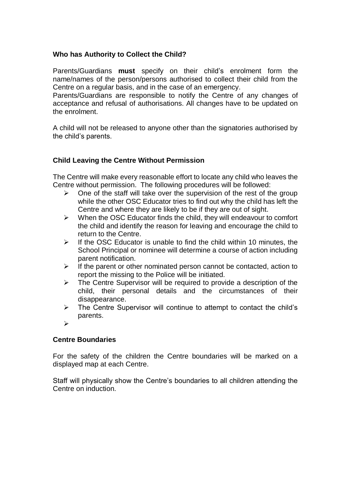## **Who has Authority to Collect the Child?**

Parents/Guardians **must** specify on their child's enrolment form the name/names of the person/persons authorised to collect their child from the Centre on a regular basis, and in the case of an emergency.

Parents/Guardians are responsible to notify the Centre of any changes of acceptance and refusal of authorisations. All changes have to be updated on the enrolment.

A child will not be released to anyone other than the signatories authorised by the child's parents.

## **Child Leaving the Centre Without Permission**

The Centre will make every reasonable effort to locate any child who leaves the Centre without permission. The following procedures will be followed:

- $\triangleright$  One of the staff will take over the supervision of the rest of the group while the other OSC Educator tries to find out why the child has left the Centre and where they are likely to be if they are out of sight.
- $\triangleright$  When the OSC Educator finds the child, they will endeavour to comfort the child and identify the reason for leaving and encourage the child to return to the Centre.
- $\triangleright$  If the OSC Educator is unable to find the child within 10 minutes, the School Principal or nominee will determine a course of action including parent notification.
- $\triangleright$  If the parent or other nominated person cannot be contacted, action to report the missing to the Police will be initiated.
- $\triangleright$  The Centre Supervisor will be required to provide a description of the child, their personal details and the circumstances of their disappearance.
- $\triangleright$  The Centre Supervisor will continue to attempt to contact the child's parents.
- $\triangleright$

#### **Centre Boundaries**

For the safety of the children the Centre boundaries will be marked on a displayed map at each Centre.

Staff will physically show the Centre's boundaries to all children attending the Centre on induction.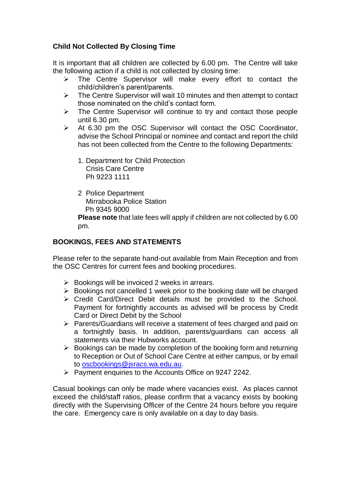## **Child Not Collected By Closing Time**

It is important that all children are collected by 6.00 pm. The Centre will take the following action if a child is not collected by closing time:

- $\triangleright$  The Centre Supervisor will make every effort to contact the child/children's parent/parents.
- $\triangleright$  The Centre Supervisor will wait 10 minutes and then attempt to contact those nominated on the child's contact form.
- $\triangleright$  The Centre Supervisor will continue to try and contact those people until 6.30 pm.
- $\triangleright$  At 6.30 pm the OSC Supervisor will contact the OSC Coordinator, advise the School Principal or nominee and contact and report the child has not been collected from the Centre to the following Departments:
	- 1. Department for Child Protection Crisis Care Centre Ph 9223 1111
	- 2 Police Department Mirrabooka Police Station Ph 9345 9000

**Please note** that late fees will apply if children are not collected by 6.00 pm.

## **BOOKINGS, FEES AND STATEMENTS**

Please refer to the separate hand-out available from Main Reception and from the OSC Centres for current fees and booking procedures.

- $\triangleright$  Bookings will be invoiced 2 weeks in arrears.
- $\triangleright$  Bookings not cancelled 1 week prior to the booking date will be charged
- $\triangleright$  Credit Card/Direct Debit details must be provided to the School. Payment for fortnightly accounts as advised will be process by Credit Card or Direct Debit by the School
- $\triangleright$  Parents/Guardians will receive a statement of fees charged and paid on a fortnightly basis. In addition, parents/guardians can access all statements via their Hubworks account.
- $\triangleright$  Bookings can be made by completion of the booking form and returning to Reception or Out of School Care Centre at either campus, or by email to [oscbookings@jsracs.wa.edu.au.](mailto:oscbookings@jsracs.wa.edu.au)
- $\triangleright$  Payment enquiries to the Accounts Office on 9247 2242.

Casual bookings can only be made where vacancies exist. As places cannot exceed the child/staff ratios, please confirm that a vacancy exists by booking directly with the Supervising Officer of the Centre 24 hours before you require the care. Emergency care is only available on a day to day basis.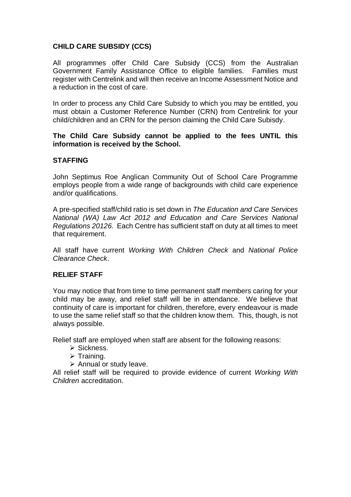## **CHILD CARE SUBSIDY (CCS)**

All programmes offer Child Care Subsidy (CCS) from the Australian Government Family Assistance Office to eligible families. Families must register with Centrelink and will then receive an Income Assessment Notice and a reduction in the cost of care.

In order to process any Child Care Subsidy to which you may be entitled, you must obtain a Customer Reference Number (CRN) from Centrelink for your child/children and an CRN for the person claiming the Child Care Subisdy.

#### **The Child Care Subsidy cannot be applied to the fees UNTIL this information is received by the School.**

#### **STAFFING**

John Septimus Roe Anglican Community Out of School Care Programme employs people from a wide range of backgrounds with child care experience and/or qualifications.

A pre-specified staff/child ratio is set down in *The Education and Care Services National (WA) Law Act 2012 and Education and Care Services National Regulations 20126.* Each Centre has sufficient staff on duty at all times to meet that requirement.

All staff have current *Working With Children Check* and *National Police Clearance Check*.

#### **RELIEF STAFF**

You may notice that from time to time permanent staff members caring for your child may be away, and relief staff will be in attendance. We believe that continuity of care is important for children, therefore, every endeavour is made to use the same relief staff so that the children know them. This, though, is not always possible.

Relief staff are employed when staff are absent for the following reasons:

- $\triangleright$  Sickness.
- $\triangleright$  Training.

 $\triangleright$  Annual or study leave.

All relief staff will be required to provide evidence of current *Working With Children* accreditation.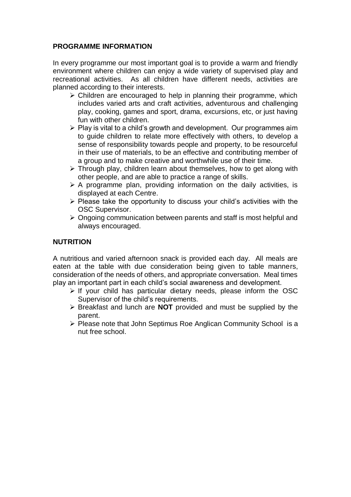## **PROGRAMME INFORMATION**

In every programme our most important goal is to provide a warm and friendly environment where children can enjoy a wide variety of supervised play and recreational activities. As all children have different needs, activities are planned according to their interests.

- $\geq$  Children are encouraged to help in planning their programme, which includes varied arts and craft activities, adventurous and challenging play, cooking, games and sport, drama, excursions, etc, or just having fun with other children.
- $\triangleright$  Play is vital to a child's growth and development. Our programmes aim to guide children to relate more effectively with others, to develop a sense of responsibility towards people and property, to be resourceful in their use of materials, to be an effective and contributing member of a group and to make creative and worthwhile use of their time.
- $\triangleright$  Through play, children learn about themselves, how to get along with other people, and are able to practice a range of skills.
- $\triangleright$  A programme plan, providing information on the daily activities, is displayed at each Centre.
- $\triangleright$  Please take the opportunity to discuss your child's activities with the OSC Supervisor.
- $\geq$  Ongoing communication between parents and staff is most helpful and always encouraged.

## **NUTRITION**

A nutritious and varied afternoon snack is provided each day. All meals are eaten at the table with due consideration being given to table manners, consideration of the needs of others, and appropriate conversation. Meal times play an important part in each child's social awareness and development.

- $\triangleright$  If your child has particular dietary needs, please inform the OSC Supervisor of the child's requirements.
- Breakfast and lunch are **NOT** provided and must be supplied by the parent.
- Please note that John Septimus Roe Anglican Community School is a nut free school.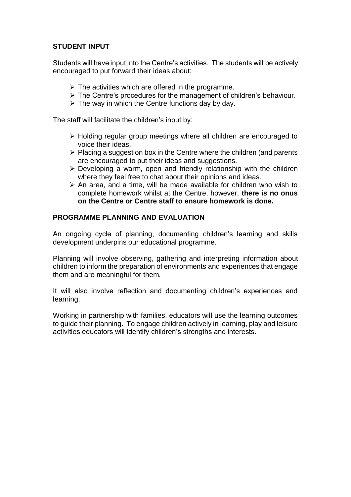## **STUDENT INPUT**

Students will have input into the Centre's activities. The students will be actively encouraged to put forward their ideas about:

- $\triangleright$  The activities which are offered in the programme.
- $\triangleright$  The Centre's procedures for the management of children's behaviour.
- $\triangleright$  The way in which the Centre functions day by day.

The staff will facilitate the children's input by:

- $\triangleright$  Holding regular group meetings where all children are encouraged to voice their ideas.
- $\triangleright$  Placing a suggestion box in the Centre where the children (and parents are encouraged to put their ideas and suggestions.
- $\triangleright$  Developing a warm, open and friendly relationship with the children where they feel free to chat about their opinions and ideas.
- $\triangleright$  An area, and a time, will be made available for children who wish to complete homework whilst at the Centre, however, **there is no onus on the Centre or Centre staff to ensure homework is done.**

#### **PROGRAMME PLANNING AND EVALUATION**

An ongoing cycle of planning, documenting children's learning and skills development underpins our educational programme.

Planning will involve observing, gathering and interpreting information about children to inform the preparation of environments and experiences that engage them and are meaningful for them.

It will also involve reflection and documenting children's experiences and learning.

Working in partnership with families, educators will use the learning outcomes to guide their planning. To engage children actively in learning, play and leisure activities educators will identify children's strengths and interests.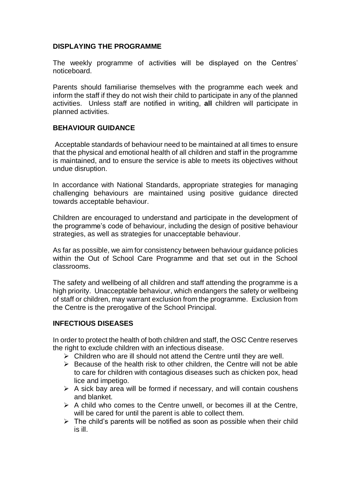#### **DISPLAYING THE PROGRAMME**

The weekly programme of activities will be displayed on the Centres' noticeboard.

Parents should familiarise themselves with the programme each week and inform the staff if they do not wish their child to participate in any of the planned activities. Unless staff are notified in writing, **all** children will participate in planned activities.

#### **BEHAVIOUR GUIDANCE**

Acceptable standards of behaviour need to be maintained at all times to ensure that the physical and emotional health of all children and staff in the programme is maintained, and to ensure the service is able to meets its objectives without undue disruption.

In accordance with National Standards, appropriate strategies for managing challenging behaviours are maintained using positive guidance directed towards acceptable behaviour.

Children are encouraged to understand and participate in the development of the programme's code of behaviour, including the design of positive behaviour strategies, as well as strategies for unacceptable behaviour.

As far as possible, we aim for consistency between behaviour guidance policies within the Out of School Care Programme and that set out in the School classrooms.

The safety and wellbeing of all children and staff attending the programme is a high priority. Unacceptable behaviour, which endangers the safety or wellbeing of staff or children, may warrant exclusion from the programme. Exclusion from the Centre is the prerogative of the School Principal.

#### **INFECTIOUS DISEASES**

In order to protect the health of both children and staff, the OSC Centre reserves the right to exclude children with an infectious disease.

- $\triangleright$  Children who are ill should not attend the Centre until they are well.
- $\triangleright$  Because of the health risk to other children, the Centre will not be able to care for children with contagious diseases such as chicken pox, head lice and impetigo.
- $\triangleright$  A sick bay area will be formed if necessary, and will contain coushens and blanket.
- $\triangleright$  A child who comes to the Centre unwell, or becomes ill at the Centre, will be cared for until the parent is able to collect them.
- $\triangleright$  The child's parents will be notified as soon as possible when their child is ill.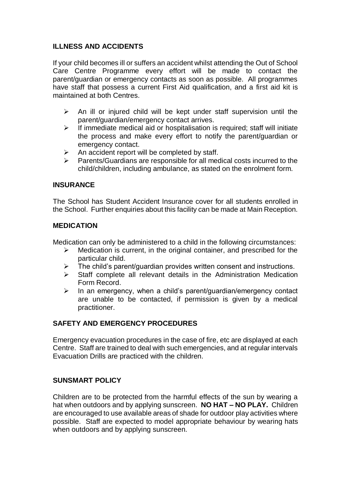## **ILLNESS AND ACCIDENTS**

If your child becomes ill or suffers an accident whilst attending the Out of School Care Centre Programme every effort will be made to contact the parent/guardian or emergency contacts as soon as possible. All programmes have staff that possess a current First Aid qualification, and a first aid kit is maintained at both Centres.

- $\triangleright$  An ill or injured child will be kept under staff supervision until the parent/guardian/emergency contact arrives.
- $\triangleright$  If immediate medical aid or hospitalisation is required; staff will initiate the process and make every effort to notify the parent/guardian or emergency contact.
- $\triangleright$  An accident report will be completed by staff.
- $\triangleright$  Parents/Guardians are responsible for all medical costs incurred to the child/children, including ambulance, as stated on the enrolment form.

## **INSURANCE**

The School has Student Accident Insurance cover for all students enrolled in the School. Further enquiries about this facility can be made at Main Reception.

## **MEDICATION**

Medication can only be administered to a child in the following circumstances:

- $\triangleright$  Medication is current, in the original container, and prescribed for the particular child.
- $\triangleright$  The child's parent/quardian provides written consent and instructions.
- $\triangleright$  Staff complete all relevant details in the Administration Medication Form Record.
- $\triangleright$  In an emergency, when a child's parent/guardian/emergency contact are unable to be contacted, if permission is given by a medical practitioner.

## **SAFETY AND EMERGENCY PROCEDURES**

Emergency evacuation procedures in the case of fire, etc are displayed at each Centre. Staff are trained to deal with such emergencies, and at regular intervals Evacuation Drills are practiced with the children.

## **SUNSMART POLICY**

Children are to be protected from the harmful effects of the sun by wearing a hat when outdoors and by applying sunscreen. **NO HAT – NO PLAY.** Children are encouraged to use available areas of shade for outdoor play activities where possible. Staff are expected to model appropriate behaviour by wearing hats when outdoors and by applying sunscreen.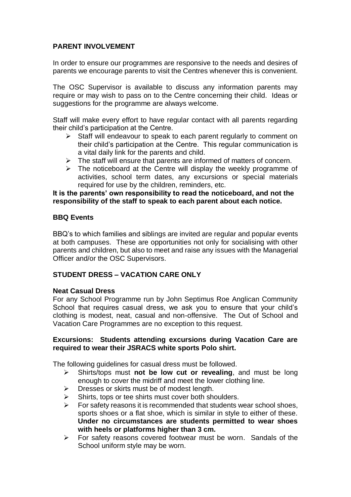## **PARENT INVOLVEMENT**

In order to ensure our programmes are responsive to the needs and desires of parents we encourage parents to visit the Centres whenever this is convenient.

The OSC Supervisor is available to discuss any information parents may require or may wish to pass on to the Centre concerning their child. Ideas or suggestions for the programme are always welcome.

Staff will make every effort to have regular contact with all parents regarding their child's participation at the Centre.

- $\triangleright$  Staff will endeavour to speak to each parent regularly to comment on their child's participation at the Centre. This regular communication is a vital daily link for the parents and child.
- $\triangleright$  The staff will ensure that parents are informed of matters of concern.
- $\triangleright$  The noticeboard at the Centre will display the weekly programme of activities, school term dates, any excursions or special materials required for use by the children, reminders, etc.

#### **It is the parents' own responsibility to read the noticeboard, and not the responsibility of the staff to speak to each parent about each notice.**

#### **BBQ Events**

BBQ's to which families and siblings are invited are regular and popular events at both campuses. These are opportunities not only for socialising with other parents and children, but also to meet and raise any issues with the Managerial Officer and/or the OSC Supervisors.

#### **STUDENT DRESS – VACATION CARE ONLY**

#### **Neat Casual Dress**

For any School Programme run by John Septimus Roe Anglican Community School that requires casual dress, we ask you to ensure that your child's clothing is modest, neat, casual and non-offensive. The Out of School and Vacation Care Programmes are no exception to this request.

#### **Excursions: Students attending excursions during Vacation Care are required to wear their JSRACS white sports Polo shirt.**

The following guidelines for casual dress must be followed.

- Shirts/tops must **not be low cut or revealing**, and must be long enough to cover the midriff and meet the lower clothing line.
- $\triangleright$  Dresses or skirts must be of modest length.
- $\triangleright$  Shirts, tops or tee shirts must cover both shoulders.
- $\triangleright$  For safety reasons it is recommended that students wear school shoes, sports shoes or a flat shoe, which is similar in style to either of these. **Under no circumstances are students permitted to wear shoes with heels or platforms higher than 3 cm.**
- $\triangleright$  For safety reasons covered footwear must be worn. Sandals of the School uniform style may be worn.